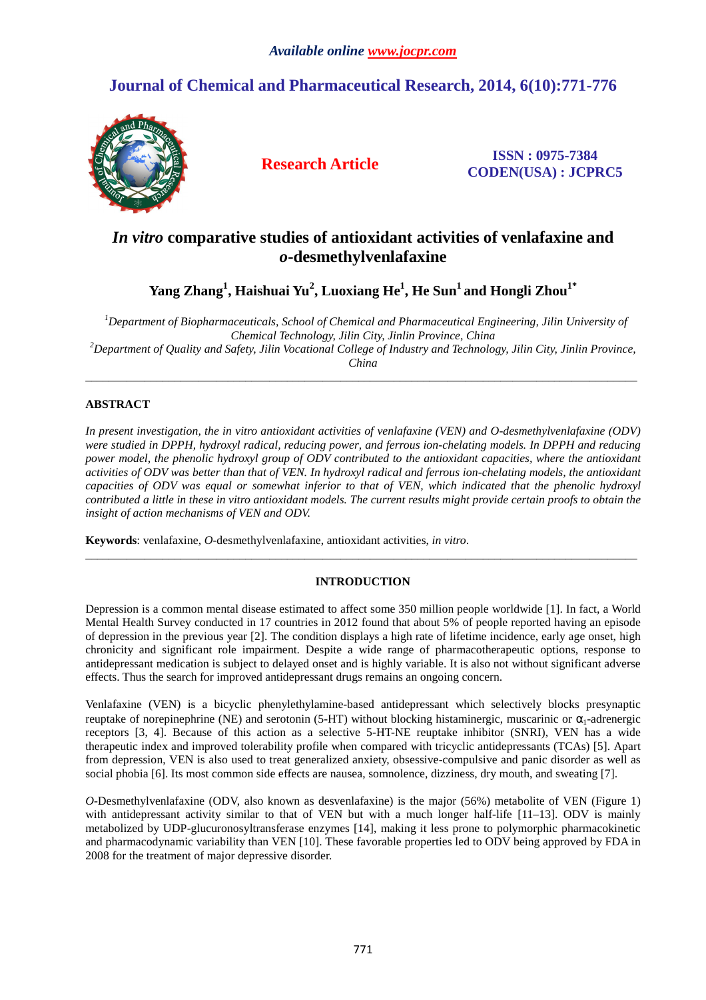# **Journal of Chemical and Pharmaceutical Research, 2014, 6(10):771-776**



**Research Article ISSN : 0975-7384 CODEN(USA) : JCPRC5**

# *In vitro* **comparative studies of antioxidant activities of venlafaxine and**  *o***-desmethylvenlafaxine**

**Yang Zhang<sup>1</sup> , Haishuai Yu<sup>2</sup> , Luoxiang He<sup>1</sup> , He Sun<sup>1</sup>and Hongli Zhou1\*** 

*<sup>1</sup>Department of Biopharmaceuticals, School of Chemical and Pharmaceutical Engineering, Jilin University of Chemical Technology, Jilin City, Jinlin Province, China <sup>2</sup>Department of Quality and Safety, Jilin Vocational College of Industry and Technology, Jilin City, Jinlin Province, China* 

\_\_\_\_\_\_\_\_\_\_\_\_\_\_\_\_\_\_\_\_\_\_\_\_\_\_\_\_\_\_\_\_\_\_\_\_\_\_\_\_\_\_\_\_\_\_\_\_\_\_\_\_\_\_\_\_\_\_\_\_\_\_\_\_\_\_\_\_\_\_\_\_\_\_\_\_\_\_\_\_\_\_\_\_\_\_\_\_\_\_\_\_\_

# **ABSTRACT**

*In present investigation, the in vitro antioxidant activities of venlafaxine (VEN) and O-desmethylvenlafaxine (ODV) were studied in DPPH, hydroxyl radical, reducing power, and ferrous ion-chelating models. In DPPH and reducing power model, the phenolic hydroxyl group of ODV contributed to the antioxidant capacities, where the antioxidant activities of ODV was better than that of VEN. In hydroxyl radical and ferrous ion-chelating models, the antioxidant capacities of ODV was equal or somewhat inferior to that of VEN, which indicated that the phenolic hydroxyl contributed a little in these in vitro antioxidant models. The current results might provide certain proofs to obtain the insight of action mechanisms of VEN and ODV.* 

**Keywords**: venlafaxine, *O*-desmethylvenlafaxine, antioxidant activities, *in vitro*.

# **INTRODUCTION**

\_\_\_\_\_\_\_\_\_\_\_\_\_\_\_\_\_\_\_\_\_\_\_\_\_\_\_\_\_\_\_\_\_\_\_\_\_\_\_\_\_\_\_\_\_\_\_\_\_\_\_\_\_\_\_\_\_\_\_\_\_\_\_\_\_\_\_\_\_\_\_\_\_\_\_\_\_\_\_\_\_\_\_\_\_\_\_\_\_\_\_\_\_

Depression is a common mental disease estimated to affect some 350 million people worldwide [1]. In fact, a World Mental Health Survey conducted in 17 countries in 2012 found that about 5% of people reported having an episode of depression in the previous year [2]. The condition displays a high rate of lifetime incidence, early age onset, high chronicity and significant role impairment. Despite a wide range of pharmacotherapeutic options, response to antidepressant medication is subject to delayed onset and is highly variable. It is also not without significant adverse effects. Thus the search for improved antidepressant drugs remains an ongoing concern.

Venlafaxine (VEN) is a bicyclic phenylethylamine-based antidepressant which selectively blocks presynaptic reuptake of norepinephrine (NE) and serotonin (5-HT) without blocking histaminergic, muscarinic or  $α_1$ -adrenergic receptors [3, 4]. Because of this action as a selective 5-HT-NE reuptake inhibitor (SNRI), VEN has a wide therapeutic index and improved tolerability profile when compared with tricyclic antidepressants (TCAs) [5]. Apart from depression, VEN is also used to treat generalized anxiety, obsessive-compulsive and panic disorder as well as social phobia [6]. Its most common side effects are nausea, somnolence, dizziness, dry mouth, and sweating [7].

*O*-Desmethylvenlafaxine (ODV, also known as desvenlafaxine) is the major (56%) metabolite of VEN (Figure 1) with antidepressant activity similar to that of VEN but with a much longer half-life [11–13]. ODV is mainly metabolized by UDP-glucuronosyltransferase enzymes [14], making it less prone to polymorphic pharmacokinetic and pharmacodynamic variability than VEN [10]. These favorable properties led to ODV being approved by FDA in 2008 for the treatment of major depressive disorder.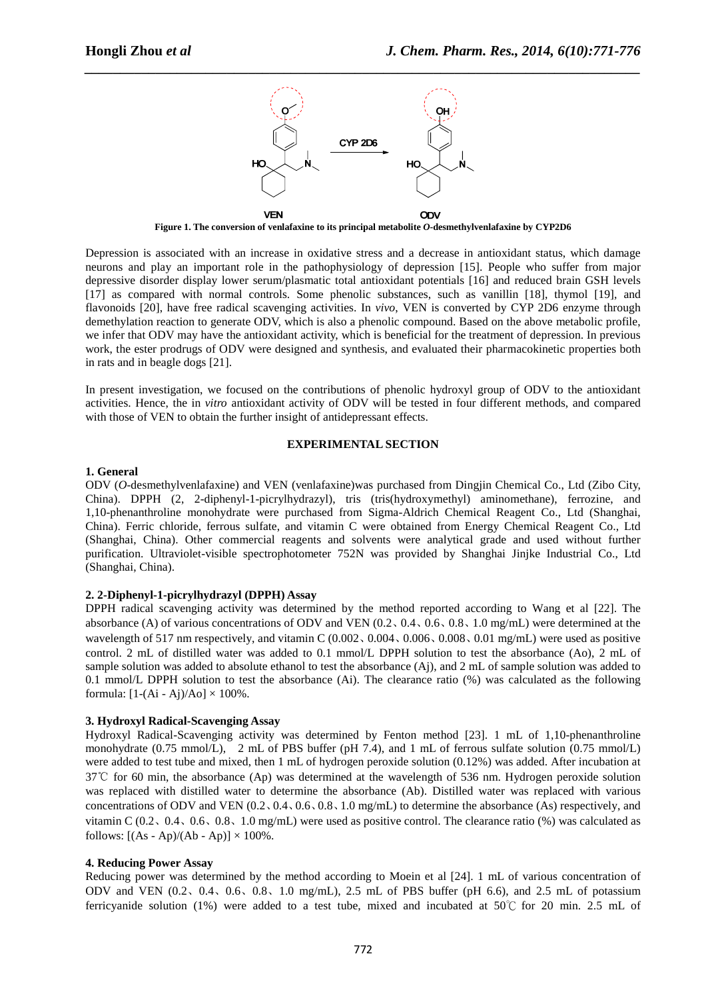

**Figure 1. The conversion of venlafaxine to its principal metabolite** *O***-desmethylvenlafaxine by CYP2D6** 

Depression is associated with an increase in oxidative stress and a decrease in antioxidant status, which damage neurons and play an important role in the pathophysiology of depression [15]. People who suffer from major depressive disorder display lower serum/plasmatic total antioxidant potentials [16] and reduced brain GSH levels [17] as compared with normal controls. Some phenolic substances, such as vanillin [18], thymol [19], and flavonoids [20], have free radical scavenging activities. In *vivo*, VEN is converted by CYP 2D6 enzyme through demethylation reaction to generate ODV, which is also a phenolic compound. Based on the above metabolic profile, we infer that ODV may have the antioxidant activity, which is beneficial for the treatment of depression. In previous work, the ester prodrugs of ODV were designed and synthesis, and evaluated their pharmacokinetic properties both in rats and in beagle dogs [21].

In present investigation, we focused on the contributions of phenolic hydroxyl group of ODV to the antioxidant activities. Hence, the in *vitro* antioxidant activity of ODV will be tested in four different methods, and compared with those of VEN to obtain the further insight of antidepressant effects.

## **EXPERIMENTAL SECTION**

#### **1. General**

ODV (*O*-desmethylvenlafaxine) and VEN (venlafaxine)was purchased from Dingjin Chemical Co., Ltd (Zibo City, China). DPPH (2, 2-diphenyl-1-picrylhydrazyl), tris (tris(hydroxymethyl) aminomethane), ferrozine, and 1,10-phenanthroline monohydrate were purchased from Sigma-Aldrich Chemical Reagent Co., Ltd (Shanghai, China). Ferric chloride, ferrous sulfate, and vitamin C were obtained from Energy Chemical Reagent Co., Ltd (Shanghai, China). Other commercial reagents and solvents were analytical grade and used without further purification. Ultraviolet-visible spectrophotometer 752N was provided by Shanghai Jinjke Industrial Co., Ltd (Shanghai, China).

## **2. 2-Diphenyl-1-picrylhydrazyl (DPPH) Assay**

DPPH radical scavenging activity was determined by the method reported according to Wang et al [22]. The absorbance (A) of various concentrations of ODV and VEN (0.2、0.4、0.6、0.8、1.0 mg/mL) were determined at the wavelength of 517 nm respectively, and vitamin C (0.002, 0.004, 0.006, 0.008, 0.01 mg/mL) were used as positive control. 2 mL of distilled water was added to 0.1 mmol/L DPPH solution to test the absorbance (Ao), 2 mL of sample solution was added to absolute ethanol to test the absorbance (Aj), and 2 mL of sample solution was added to 0.1 mmol/L DPPH solution to test the absorbance (Ai). The clearance ratio (%) was calculated as the following formula:  $[1-(Ai - Aj)/Ao] \times 100\%$ .

# **3. Hydroxyl Radical-Scavenging Assay**

Hydroxyl Radical-Scavenging activity was determined by Fenton method [23]. 1 mL of 1,10-phenanthroline monohydrate (0.75 mmol/L), 2 mL of PBS buffer (pH 7.4), and 1 mL of ferrous sulfate solution (0.75 mmol/L) were added to test tube and mixed, then 1 mL of hydrogen peroxide solution (0.12%) was added. After incubation at 37℃ for 60 min, the absorbance (Ap) was determined at the wavelength of 536 nm. Hydrogen peroxide solution was replaced with distilled water to determine the absorbance (Ab). Distilled water was replaced with various concentrations of ODV and VEN (0.2、0.4、0.6、0.8、1.0 mg/mL) to determine the absorbance (As) respectively, and vitamin C (0.2、0.4、0.6、0.8、1.0 mg/mL) were used as positive control. The clearance ratio (%) was calculated as follows:  $[(As - Ap)/(Ab - Ap)] \times 100\%$ .

### **4. Reducing Power Assay**

Reducing power was determined by the method according to Moein et al [24]. 1 mL of various concentration of ODV and VEN  $(0.2, 0.4, 0.6, 0.8, 1.0 \text{ mg/mL})$ , 2.5 mL of PBS buffer (pH 6.6), and 2.5 mL of potassium ferricyanide solution (1%) were added to a test tube, mixed and incubated at 50°C for 20 min. 2.5 mL of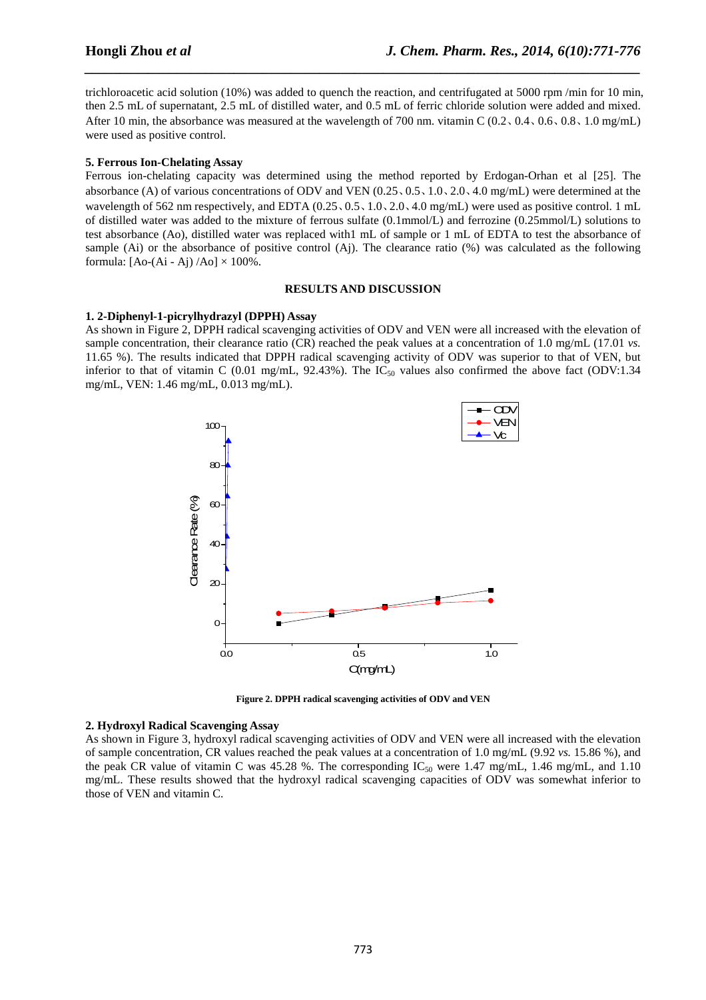trichloroacetic acid solution (10%) was added to quench the reaction, and centrifugated at 5000 rpm /min for 10 min, then 2.5 mL of supernatant, 2.5 mL of distilled water, and 0.5 mL of ferric chloride solution were added and mixed. After 10 min, the absorbance was measured at the wavelength of 700 nm. vitamin C (0.2、0.4、0.6、0.8、1.0 mg/mL) were used as positive control.

*\_\_\_\_\_\_\_\_\_\_\_\_\_\_\_\_\_\_\_\_\_\_\_\_\_\_\_\_\_\_\_\_\_\_\_\_\_\_\_\_\_\_\_\_\_\_\_\_\_\_\_\_\_\_\_\_\_\_\_\_\_\_\_\_\_\_\_\_\_\_\_\_\_\_\_\_\_\_*

#### **5. Ferrous Ion-Chelating Assay**

Ferrous ion-chelating capacity was determined using the method reported by Erdogan-Orhan et al [25]. The absorbance (A) of various concentrations of ODV and VEN (0.25、0.5、1.0、2.0、4.0 mg/mL) were determined at the wavelength of 562 nm respectively, and EDTA (0.25, 0.5, 1.0, 2.0, 4.0 mg/mL) were used as positive control. 1 mL of distilled water was added to the mixture of ferrous sulfate (0.1mmol/L) and ferrozine (0.25mmol/L) solutions to test absorbance (Ao), distilled water was replaced with1 mL of sample or 1 mL of EDTA to test the absorbance of sample (Ai) or the absorbance of positive control (Aj). The clearance ratio (%) was calculated as the following formula:  $[Ao-(Ai - Aj)/Ao] \times 100\%$ .

#### **RESULTS AND DISCUSSION**

#### **1. 2-Diphenyl-1-picrylhydrazyl (DPPH) Assay**

As shown in Figure 2, DPPH radical scavenging activities of ODV and VEN were all increased with the elevation of sample concentration, their clearance ratio (CR) reached the peak values at a concentration of 1.0 mg/mL (17.01 *vs.* 11.65 %). The results indicated that DPPH radical scavenging activity of ODV was superior to that of VEN, but inferior to that of vitamin C (0.01 mg/mL, 92.43%). The  $IC_{50}$  values also confirmed the above fact (ODV:1.34 mg/mL, VEN: 1.46 mg/mL, 0.013 mg/mL).



**Figure 2. DPPH radical scavenging activities of ODV and VEN** 

#### **2. Hydroxyl Radical Scavenging Assay**

As shown in Figure 3, hydroxyl radical scavenging activities of ODV and VEN were all increased with the elevation of sample concentration, CR values reached the peak values at a concentration of 1.0 mg/mL (9.92 *vs.* 15.86 %), and the peak CR value of vitamin C was 45.28 %. The corresponding  $IC_{50}$  were 1.47 mg/mL, 1.46 mg/mL, and 1.10 mg/mL. These results showed that the hydroxyl radical scavenging capacities of ODV was somewhat inferior to those of VEN and vitamin C.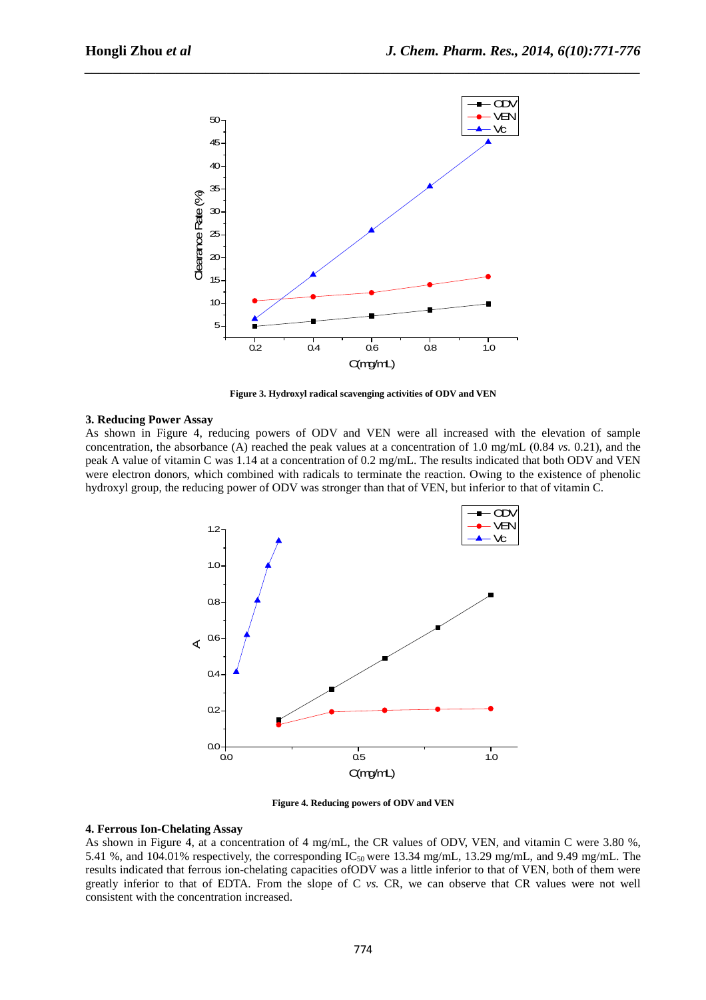

*\_\_\_\_\_\_\_\_\_\_\_\_\_\_\_\_\_\_\_\_\_\_\_\_\_\_\_\_\_\_\_\_\_\_\_\_\_\_\_\_\_\_\_\_\_\_\_\_\_\_\_\_\_\_\_\_\_\_\_\_\_\_\_\_\_\_\_\_\_\_\_\_\_\_\_\_\_\_*

**Figure 3. Hydroxyl radical scavenging activities of ODV and VEN** 

#### **3. Reducing Power Assay**

As shown in Figure 4, reducing powers of ODV and VEN were all increased with the elevation of sample concentration, the absorbance (A) reached the peak values at a concentration of 1.0 mg/mL (0.84 *vs.* 0.21), and the peak A value of vitamin C was 1.14 at a concentration of 0.2 mg/mL. The results indicated that both ODV and VEN were electron donors, which combined with radicals to terminate the reaction. Owing to the existence of phenolic hydroxyl group, the reducing power of ODV was stronger than that of VEN, but inferior to that of vitamin C.



**Figure 4. Reducing powers of ODV and VEN** 

#### **4. Ferrous Ion-Chelating Assay**

As shown in Figure 4, at a concentration of 4 mg/mL, the CR values of ODV, VEN, and vitamin C were 3.80 %, 5.41 %, and 104.01% respectively, the corresponding  $IC_{50}$  were 13.34 mg/mL, 13.29 mg/mL, and 9.49 mg/mL. The results indicated that ferrous ion-chelating capacities ofODV was a little inferior to that of VEN, both of them were greatly inferior to that of EDTA. From the slope of C *vs.* CR, we can observe that CR values were not well consistent with the concentration increased.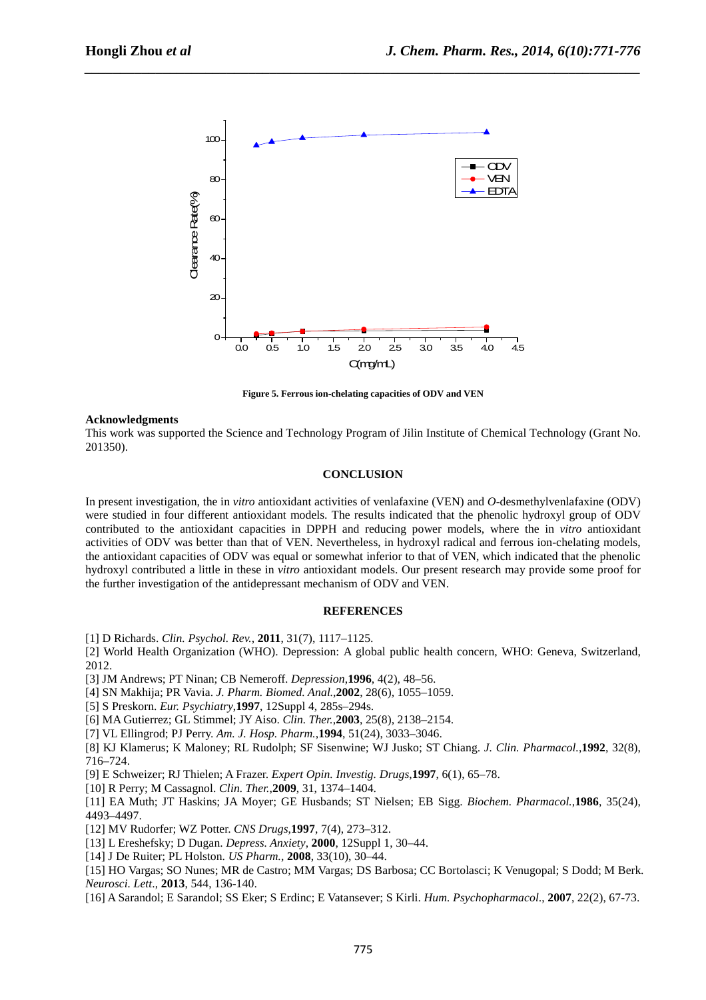

*\_\_\_\_\_\_\_\_\_\_\_\_\_\_\_\_\_\_\_\_\_\_\_\_\_\_\_\_\_\_\_\_\_\_\_\_\_\_\_\_\_\_\_\_\_\_\_\_\_\_\_\_\_\_\_\_\_\_\_\_\_\_\_\_\_\_\_\_\_\_\_\_\_\_\_\_\_\_*

**Figure 5. Ferrous ion-chelating capacities of ODV and VEN** 

#### **Acknowledgments**

This work was supported the Science and Technology Program of Jilin Institute of Chemical Technology (Grant No. 201350).

#### **CONCLUSION**

In present investigation, the in *vitro* antioxidant activities of venlafaxine (VEN) and *O*-desmethylvenlafaxine (ODV) were studied in four different antioxidant models. The results indicated that the phenolic hydroxyl group of ODV contributed to the antioxidant capacities in DPPH and reducing power models, where the in *vitro* antioxidant activities of ODV was better than that of VEN. Nevertheless, in hydroxyl radical and ferrous ion-chelating models, the antioxidant capacities of ODV was equal or somewhat inferior to that of VEN, which indicated that the phenolic hydroxyl contributed a little in these in *vitro* antioxidant models. Our present research may provide some proof for the further investigation of the antidepressant mechanism of ODV and VEN.

#### **REFERENCES**

[1] D Richards. *Clin. Psychol. Rev.*, **2011**, 31(7), 1117–1125.

[2] World Health Organization (WHO). Depression: A global public health concern, WHO: Geneva, Switzerland, 2012.

[3] JM Andrews; PT Ninan; CB Nemeroff. *Depression*,**1996**, 4(2), 48–56.

- [4] SN Makhija; PR Vavia. *J. Pharm. Biomed. Anal.*,**2002**, 28(6)*,* 1055–1059.
- [5] S Preskorn. *Eur. Psychiatry*,**1997**, 12Suppl 4, 285s–294s.
- [6] MA Gutierrez; GL Stimmel; JY Aiso. *Clin. Ther.*,**2003**, 25(8), 2138–2154.
- [7] VL Ellingrod; PJ Perry. *Am. J. Hosp. Pharm.*,**1994**, 51(24), 3033–3046.

[8] KJ Klamerus; K Maloney; RL Rudolph; SF Sisenwine; WJ Jusko; ST Chiang. *J. Clin. Pharmacol.*,**1992**, 32(8), 716–724.

[9] E Schweizer; RJ Thielen; A Frazer. *Expert Opin. Investig. Drugs*,**1997**, 6(1), 65–78.

[10] R Perry; M Cassagnol. *Clin. Ther.*,**2009**, 31, 1374–1404.

[11] EA Muth; JT Haskins; JA Moyer; GE Husbands; ST Nielsen; EB Sigg. *Biochem. Pharmacol.*,**1986**, 35(24), 4493–4497.

- [12] MV Rudorfer; WZ Potter. *CNS Drugs*,**1997**, 7(4), 273–312.
- [13] L Ereshefsky; D Dugan. *Depress. Anxiety*, **2000**, 12Suppl 1, 30–44.
- [14] J De Ruiter; PL Holston. *US Pharm.*, **2008**, 33(10), 30–44.

[15] HO Vargas; SO Nunes; MR de Castro; MM Vargas; DS Barbosa; CC Bortolasci; K Venugopal; S Dodd; M Berk. *Neurosci. Lett*., **2013**, 544, 136-140.

[16] A Sarandol; E Sarandol; SS Eker; S Erdinc; E Vatansever; S Kirli. *Hum. Psychopharmacol*., **2007**, 22(2), 67-73.